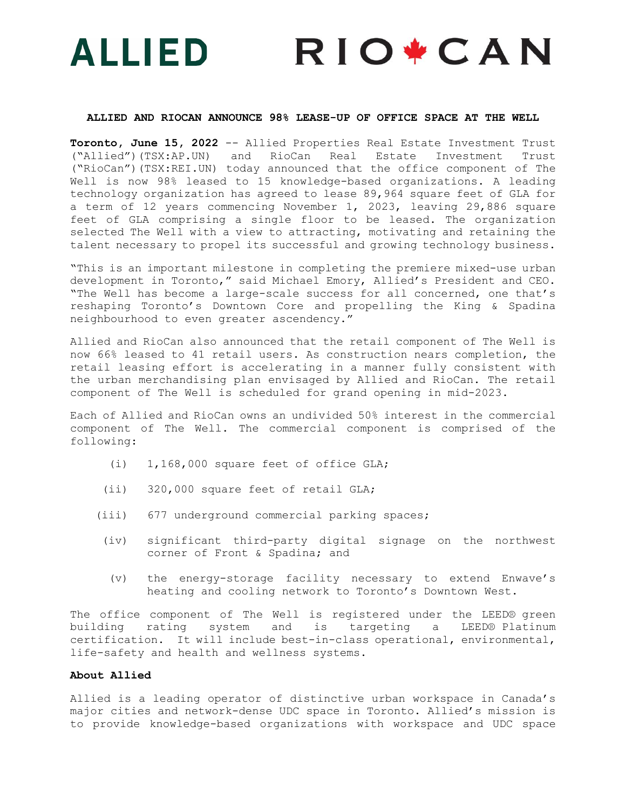# **RIO+CAN** ALLIED

#### **ALLIED AND RIOCAN ANNOUNCE 98% LEASE-UP OF OFFICE SPACE AT THE WELL**

**Toronto, June 15, 2022** -- Allied Properties Real Estate Investment Trust ("Allied")(TSX:AP.UN) and RioCan Real Estate Investment Trust ("RioCan")(TSX:REI.UN) today announced that the office component of The Well is now 98% leased to 15 knowledge-based organizations. A leading technology organization has agreed to lease 89,964 square feet of GLA for a term of 12 years commencing November 1, 2023, leaving 29,886 square feet of GLA comprising a single floor to be leased. The organization selected The Well with a view to attracting, motivating and retaining the talent necessary to propel its successful and growing technology business.

"This is an important milestone in completing the premiere mixed-use urban development in Toronto," said Michael Emory, Allied's President and CEO. "The Well has become a large-scale success for all concerned, one that's reshaping Toronto's Downtown Core and propelling the King & Spadina neighbourhood to even greater ascendency."

Allied and RioCan also announced that the retail component of The Well is now 66% leased to 41 retail users. As construction nears completion, the retail leasing effort is accelerating in a manner fully consistent with the urban merchandising plan envisaged by Allied and RioCan. The retail component of The Well is scheduled for grand opening in mid-2023.

Each of Allied and RioCan owns an undivided 50% interest in the commercial component of The Well. The commercial component is comprised of the following:

- (i) 1,168,000 square feet of office GLA;
- (ii) 320,000 square feet of retail GLA;
- (iii) 677 underground commercial parking spaces;
- (iv) significant third-party digital signage on the northwest corner of Front & Spadina; and
	- (v) the energy-storage facility necessary to extend Enwave's heating and cooling network to Toronto's Downtown West.

The office component of The Well is registered under the LEED® green building rating system and is targeting a LEED® Platinum certification. It will include best-in-class operational, environmental, life-safety and health and wellness systems.

# **About Allied**

Allied is a leading operator of distinctive urban workspace in Canada's major cities and network-dense UDC space in Toronto. Allied's mission is to provide knowledge-based organizations with workspace and UDC space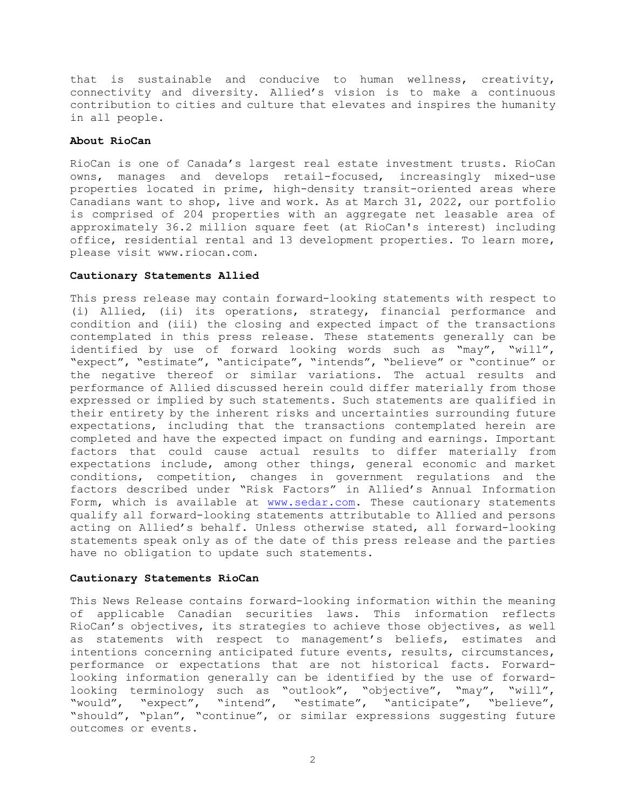that is sustainable and conducive to human wellness, creativity, connectivity and diversity. Allied's vision is to make a continuous contribution to cities and culture that elevates and inspires the humanity in all people.

# **About RioCan**

RioCan is one of Canada's largest real estate investment trusts. RioCan owns, manages and develops retail-focused, increasingly mixed-use properties located in prime, high-density transit-oriented areas where Canadians want to shop, live and work. As at March 31, 2022, our portfolio is comprised of 204 properties with an aggregate net leasable area of approximately 36.2 million square feet (at RioCan's interest) including office, residential rental and 13 development properties. To learn more, please visit [www.riocan.com.](http://www.riocan.com/)

## **Cautionary Statements Allied**

This press release may contain forward-looking statements with respect to (i) Allied, (ii) its operations, strategy, financial performance and condition and (iii) the closing and expected impact of the transactions contemplated in this press release. These statements generally can be identified by use of forward looking words such as "may", "will", "expect", "estimate", "anticipate", "intends", "believe" or "continue" or the negative thereof or similar variations. The actual results and performance of Allied discussed herein could differ materially from those expressed or implied by such statements. Such statements are qualified in their entirety by the inherent risks and uncertainties surrounding future expectations, including that the transactions contemplated herein are completed and have the expected impact on funding and earnings. Important factors that could cause actual results to differ materially from expectations include, among other things, general economic and market conditions, competition, changes in government regulations and the factors described under "Risk Factors" in Allied's Annual Information Form, which is available at www.sedar.com. These cautionary statements qualify all forward-looking statements attributable to Allied and persons acting on Allied's behalf. Unless otherwise stated, all forward-looking statements speak only as of the date of this press release and the parties have no obligation to update such statements.

#### **Cautionary Statements RioCan**

This News Release contains forward-looking information within the meaning of applicable Canadian securities laws. This information reflects RioCan's objectives, its strategies to achieve those objectives, as well as statements with respect to management's beliefs, estimates and intentions concerning anticipated future events, results, circumstances, performance or expectations that are not historical facts. Forwardlooking information generally can be identified by the use of forwardlooking terminology such as "outlook", "objective", "may", "will", "would", "expect", "intend", "estimate", "anticipate", "believe", "should", "plan", "continue", or similar expressions suggesting future outcomes or events.